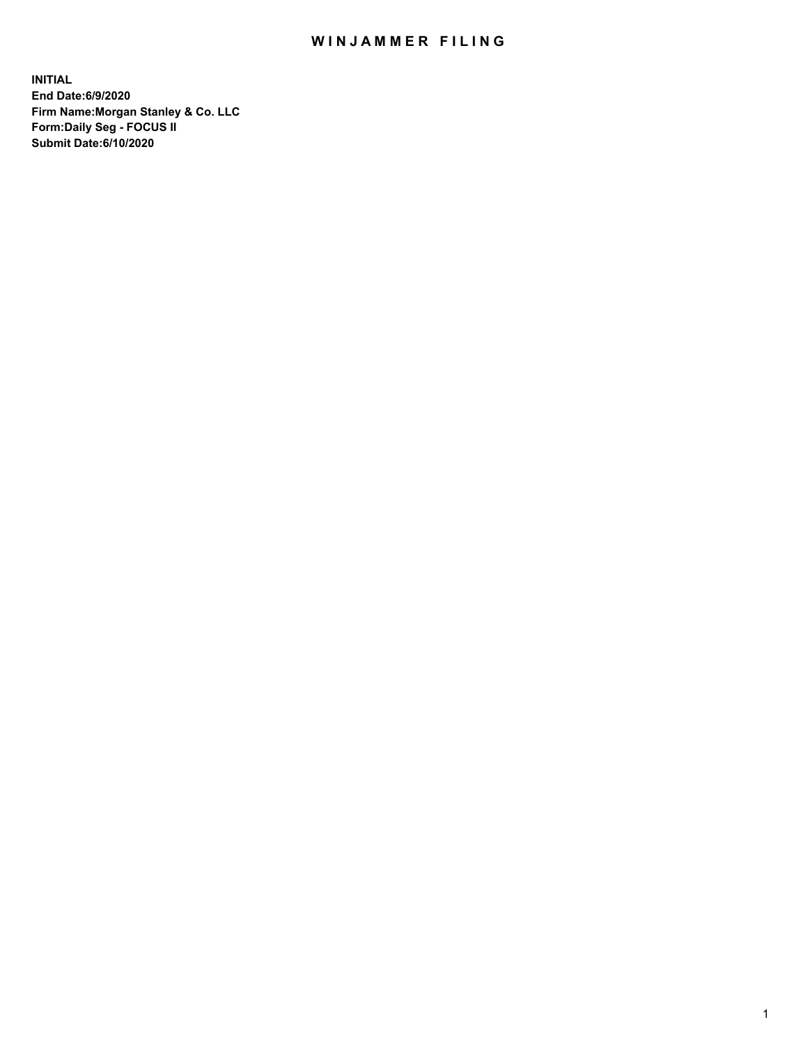## WIN JAMMER FILING

**INITIAL End Date:6/9/2020 Firm Name:Morgan Stanley & Co. LLC Form:Daily Seg - FOCUS II Submit Date:6/10/2020**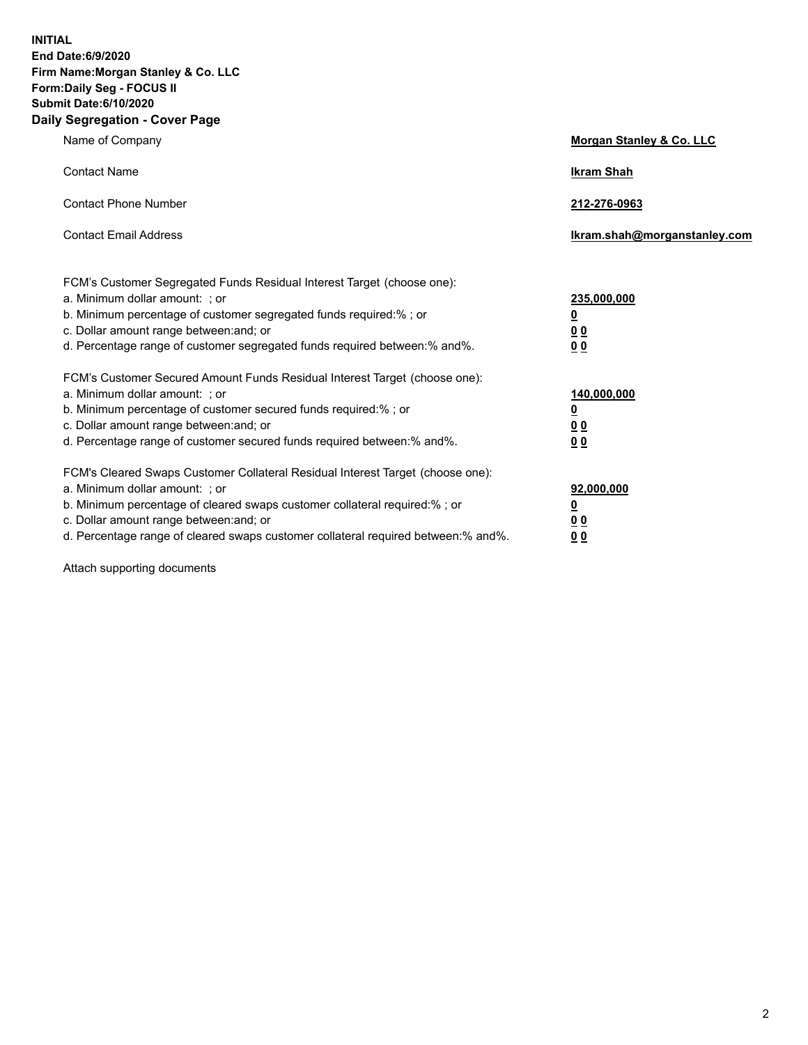**INITIAL End Date:6/9/2020 Firm Name:Morgan Stanley & Co. LLC Form:Daily Seg - FOCUS II Submit Date:6/10/2020 Daily Segregation - Cover Page**

| Name of Company                                                                                                                                                                                                                                                                                                                | <b>Morgan Stanley &amp; Co. LLC</b>                    |
|--------------------------------------------------------------------------------------------------------------------------------------------------------------------------------------------------------------------------------------------------------------------------------------------------------------------------------|--------------------------------------------------------|
| <b>Contact Name</b>                                                                                                                                                                                                                                                                                                            | <b>Ikram Shah</b>                                      |
| <b>Contact Phone Number</b>                                                                                                                                                                                                                                                                                                    | 212-276-0963                                           |
| <b>Contact Email Address</b>                                                                                                                                                                                                                                                                                                   | Ikram.shah@morganstanley.com                           |
| FCM's Customer Segregated Funds Residual Interest Target (choose one):<br>a. Minimum dollar amount: ; or<br>b. Minimum percentage of customer segregated funds required:% ; or<br>c. Dollar amount range between: and; or<br>d. Percentage range of customer segregated funds required between:% and%.                         | 235,000,000<br><u>0</u><br>0 Q<br>0 Q                  |
| FCM's Customer Secured Amount Funds Residual Interest Target (choose one):<br>a. Minimum dollar amount: ; or<br>b. Minimum percentage of customer secured funds required:% ; or<br>c. Dollar amount range between: and; or<br>d. Percentage range of customer secured funds required between: % and %.                         | 140,000,000<br><u>0</u><br><u>00</u><br>0 <sub>0</sub> |
| FCM's Cleared Swaps Customer Collateral Residual Interest Target (choose one):<br>a. Minimum dollar amount: ; or<br>b. Minimum percentage of cleared swaps customer collateral required:% ; or<br>c. Dollar amount range between: and; or<br>d. Percentage range of cleared swaps customer collateral required between:% and%. | 92,000,000<br><u>0</u><br>0 Q<br>00                    |

Attach supporting documents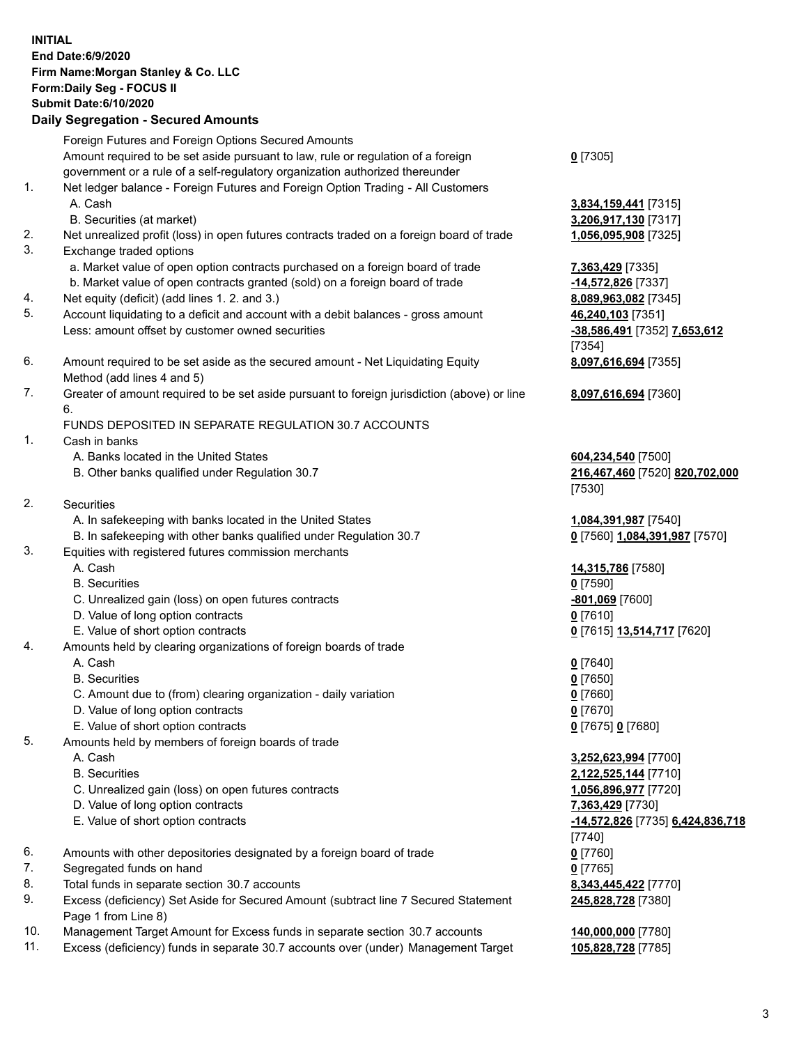## **INITIAL End Date:6/9/2020 Firm Name:Morgan Stanley & Co. LLC Form:Daily Seg - FOCUS II Submit Date:6/10/2020 Daily Segregation - Secured Amounts** Foreign Futures and Foreign Options Secured Amounts Amount required to be set aside pursuant to law, rule or regulation of a foreign government or a rule of a self-regulatory organization authorized thereunder **0** [7305] 1. Net ledger balance - Foreign Futures and Foreign Option Trading - All Customers A. Cash **3,834,159,441** [7315] B. Securities (at market) **3,206,917,130** [7317] 2. Net unrealized profit (loss) in open futures contracts traded on a foreign board of trade **1,056,095,908** [7325] 3. Exchange traded options a. Market value of open option contracts purchased on a foreign board of trade **7,363,429** [7335] b. Market value of open contracts granted (sold) on a foreign board of trade **-14,572,826** [7337] 4. Net equity (deficit) (add lines 1. 2. and 3.) **8,089,963,082** [7345] 5. Account liquidating to a deficit and account with a debit balances - gross amount **46,240,103** [7351] Less: amount offset by customer owned securities **-38,586,491** [7352] **7,653,612** [7354] 6. Amount required to be set aside as the secured amount - Net Liquidating Equity Method (add lines 4 and 5) **8,097,616,694** [7355] 7. Greater of amount required to be set aside pursuant to foreign jurisdiction (above) or line 6. **8,097,616,694** [7360] FUNDS DEPOSITED IN SEPARATE REGULATION 30.7 ACCOUNTS 1. Cash in banks A. Banks located in the United States **604,234,540** [7500] B. Other banks qualified under Regulation 30.7 **216,467,460** [7520] **820,702,000** [7530] 2. Securities A. In safekeeping with banks located in the United States **1,084,391,987** [7540] B. In safekeeping with other banks qualified under Regulation 30.7 **0** [7560] **1,084,391,987** [7570] 3. Equities with registered futures commission merchants A. Cash **14,315,786** [7580] B. Securities **0** [7590] C. Unrealized gain (loss) on open futures contracts **-801,069** [7600] D. Value of long option contracts **0** [7610] E. Value of short option contracts **0** [7615] **13,514,717** [7620] 4. Amounts held by clearing organizations of foreign boards of trade A. Cash **0** [7640] B. Securities **0** [7650] C. Amount due to (from) clearing organization - daily variation **0** [7660] D. Value of long option contracts **0** [7670] E. Value of short option contracts **0** [7675] **0** [7680] 5. Amounts held by members of foreign boards of trade A. Cash **3,252,623,994** [7700] B. Securities **2,122,525,144** [7710] C. Unrealized gain (loss) on open futures contracts **1,056,896,977** [7720] D. Value of long option contracts **7,363,429** [7730] E. Value of short option contracts **-14,572,826** [7735] **6,424,836,718** [7740] 6. Amounts with other depositories designated by a foreign board of trade **0** [7760] 7. Segregated funds on hand **0** [7765] 8. Total funds in separate section 30.7 accounts **8,343,445,422** [7770] 9. Excess (deficiency) Set Aside for Secured Amount (subtract line 7 Secured Statement Page 1 from Line 8) **245,828,728** [7380] 10. Management Target Amount for Excess funds in separate section 30.7 accounts **140,000,000** [7780]

11. Excess (deficiency) funds in separate 30.7 accounts over (under) Management Target **105,828,728** [7785]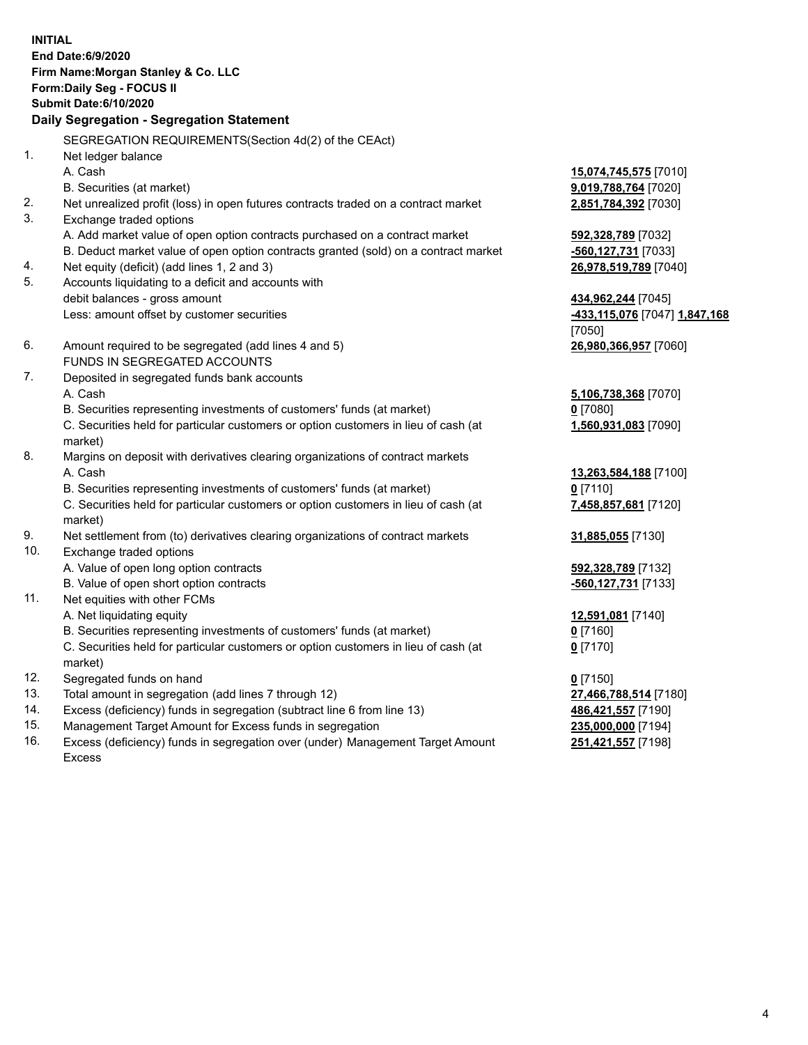**INITIAL End Date:6/9/2020 Firm Name:Morgan Stanley & Co. LLC Form:Daily Seg - FOCUS II Submit Date:6/10/2020 Daily Segregation - Segregation Statement** SEGREGATION REQUIREMENTS(Section 4d(2) of the CEAct) 1. Net ledger balance A. Cash **15,074,745,575** [7010] B. Securities (at market) **9,019,788,764** [7020] 2. Net unrealized profit (loss) in open futures contracts traded on a contract market **2,851,784,392** [7030] 3. Exchange traded options A. Add market value of open option contracts purchased on a contract market **592,328,789** [7032] B. Deduct market value of open option contracts granted (sold) on a contract market **-560,127,731** [7033] 4. Net equity (deficit) (add lines 1, 2 and 3) **26,978,519,789** [7040] 5. Accounts liquidating to a deficit and accounts with debit balances - gross amount **434,962,244** [7045] Less: amount offset by customer securities **-433,115,076** [7047] **1,847,168** [7050] 6. Amount required to be segregated (add lines 4 and 5) **26,980,366,957** [7060] FUNDS IN SEGREGATED ACCOUNTS 7. Deposited in segregated funds bank accounts A. Cash **5,106,738,368** [7070] B. Securities representing investments of customers' funds (at market) **0** [7080] C. Securities held for particular customers or option customers in lieu of cash (at market) **1,560,931,083** [7090] 8. Margins on deposit with derivatives clearing organizations of contract markets A. Cash **13,263,584,188** [7100] B. Securities representing investments of customers' funds (at market) **0** [7110] C. Securities held for particular customers or option customers in lieu of cash (at market) **7,458,857,681** [7120] 9. Net settlement from (to) derivatives clearing organizations of contract markets **31,885,055** [7130] 10. Exchange traded options A. Value of open long option contracts **592,328,789** [7132] B. Value of open short option contracts **-560,127,731** [7133] 11. Net equities with other FCMs A. Net liquidating equity **12,591,081** [7140] B. Securities representing investments of customers' funds (at market) **0** [7160] C. Securities held for particular customers or option customers in lieu of cash (at market) **0** [7170] 12. Segregated funds on hand **0** [7150] 13. Total amount in segregation (add lines 7 through 12) **27,466,788,514** [7180] 14. Excess (deficiency) funds in segregation (subtract line 6 from line 13) **486,421,557** [7190] 15. Management Target Amount for Excess funds in segregation **235,000,000** [7194]

16. Excess (deficiency) funds in segregation over (under) Management Target Amount Excess

**251,421,557** [7198]